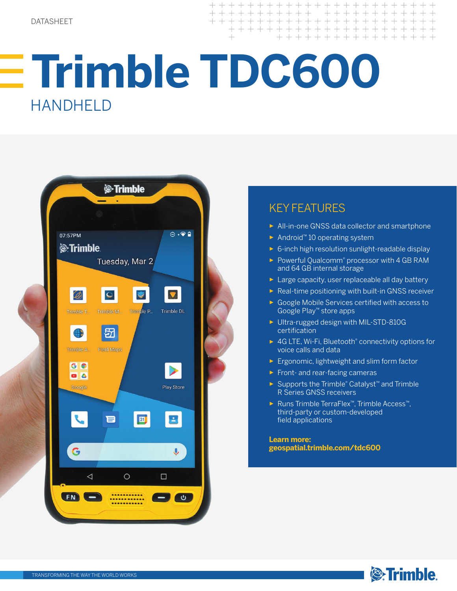+ + + + + + + + + + + + + +  $+ + + + + + + + + +$ + + + + + + + + + + + + + + +

# **Trimble TDC600**  HANDHELD



# KEY FEATURES

- ► All-in-one GNSS data collector and smartphone
- ► Android™ 10 operating system
- ► 6-inch high resolution sunlight-readable display
- ► Powerful Qualcomm® processor with 4 GB RAM and 64 GB internal storage
- ► Large capacity, user replaceable all day battery
- ► Real-time positioning with built-in GNSS receiver
- ► Google Mobile Services certified with access to Google Play™ store apps
- ► Ultra-rugged design with MIL-STD-810G certification
- ► 4G LTE, Wi-Fi, Bluetooth® connectivity options for voice calls and data
- ► Ergonomic, lightweight and slim form factor
- ► Front- and rear-facing cameras
- ► Supports the Trimble® Catalyst™ and Trimble R Series GNSS receivers
- ► Runs Trimble TerraFlex™, Trimble Access™, third-party or custom-developed field applications

**Learn more: geospatial.trimble.com/tdc600**